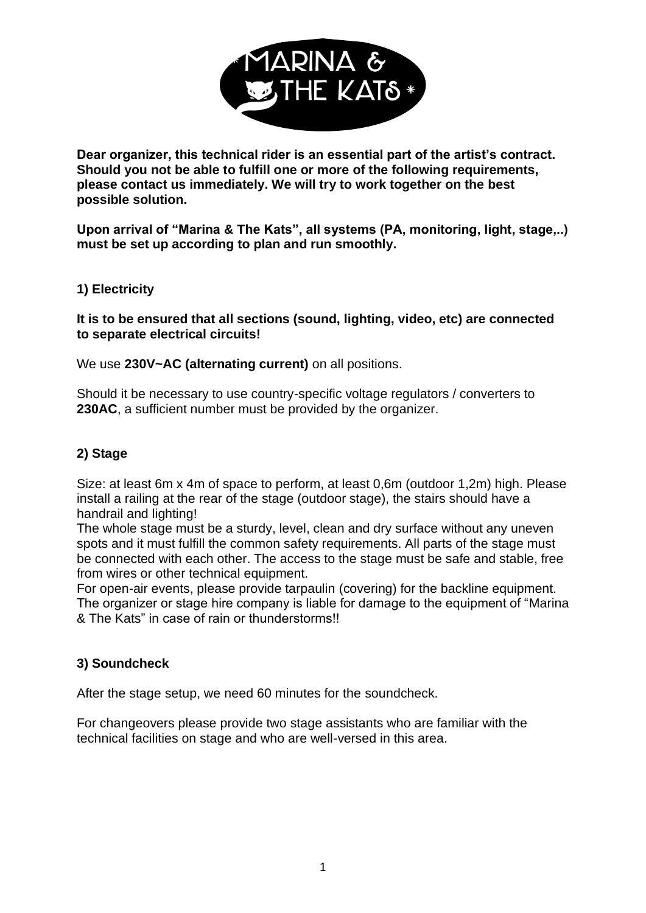

**Dear organizer, this technical rider is an essential part of the artist's contract. Should you not be able to fulfill one or more of the following requirements, please contact us immediately. We will try to work together on the best possible solution.**

**Upon arrival of "Marina & The Kats", all systems (PA, monitoring, light, stage,..) must be set up according to plan and run smoothly.**

#### **1) Electricity**

**It is to be ensured that all sections (sound, lighting, video, etc) are connected to separate electrical circuits!**

We use **230V~AC (alternating current)** on all positions.

Should it be necessary to use country-specific voltage regulators / converters to **230AC**, a sufficient number must be provided by the organizer.

## **2) Stage**

Size: at least 6m x 4m of space to perform, at least 0,6m (outdoor 1,2m) high. Please install a railing at the rear of the stage (outdoor stage), the stairs should have a handrail and lighting!

The whole stage must be a sturdy, level, clean and dry surface without any uneven spots and it must fulfill the common safety requirements. All parts of the stage must be connected with each other. The access to the stage must be safe and stable, free from wires or other technical equipment.

For open-air events, please provide tarpaulin (covering) for the backline equipment. The organizer or stage hire company is liable for damage to the equipment of "Marina & The Kats" in case of rain or thunderstorms!!

#### **3) Soundcheck**

After the stage setup, we need 60 minutes for the soundcheck.

For changeovers please provide two stage assistants who are familiar with the technical facilities on stage and who are well-versed in this area.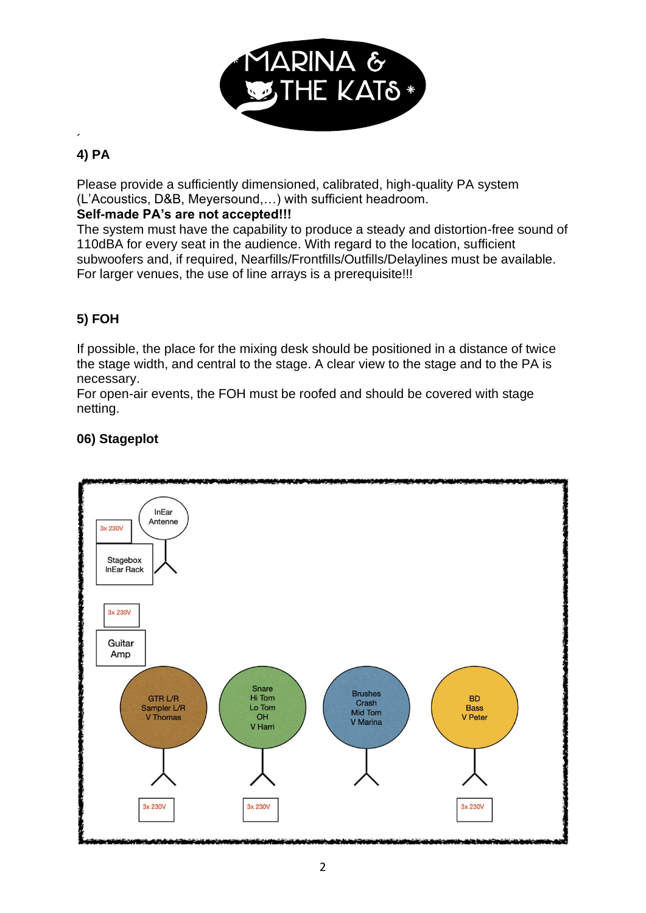

#### $\overline{\phantom{a}}$ **4) PA**

Please provide a sufficiently dimensioned, calibrated, high-quality PA system (L'Acoustics, D&B, Meyersound,…) with sufficient headroom.

### **Self-made PA's are not accepted!!!**

The system must have the capability to produce a steady and distortion-free sound of 110dBA for every seat in the audience. With regard to the location, sufficient subwoofers and, if required, Nearfills/Frontfills/Outfills/Delaylines must be available. For larger venues, the use of line arrays is a prerequisite!!!

# **5) FOH**

If possible, the place for the mixing desk should be positioned in a distance of twice the stage width, and central to the stage. A clear view to the stage and to the PA is necessary.

For open-air events, the FOH must be roofed and should be covered with stage netting.

### **06) Stageplot**

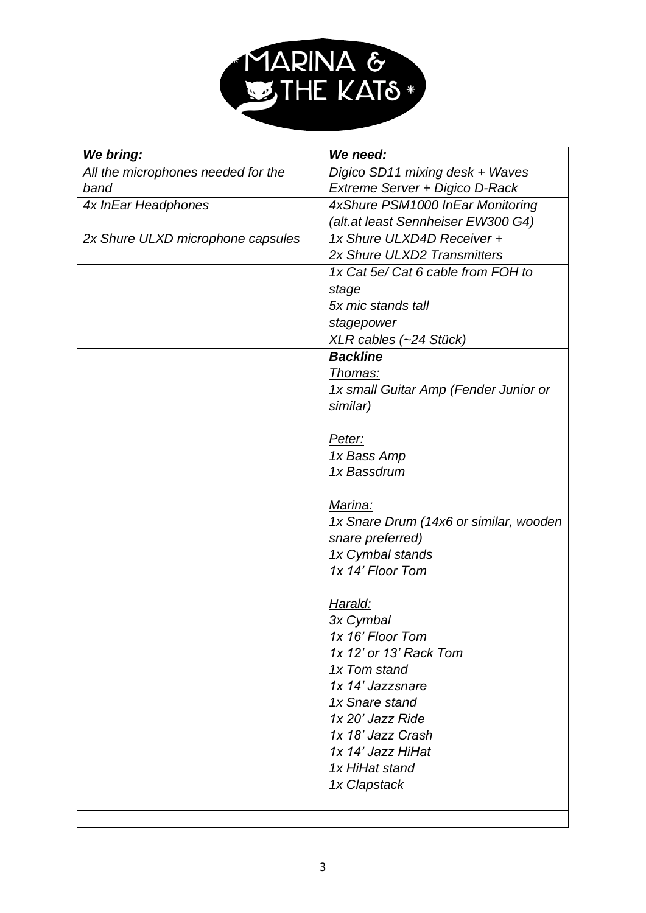

| We bring:                          | We need:                                                           |  |  |  |
|------------------------------------|--------------------------------------------------------------------|--|--|--|
| All the microphones needed for the | Digico SD11 mixing desk + Waves                                    |  |  |  |
| band                               | Extreme Server + Digico D-Rack                                     |  |  |  |
| 4x InEar Headphones                | 4xShure PSM1000 InEar Monitoring                                   |  |  |  |
|                                    | (alt.at least Sennheiser EW300 G4)                                 |  |  |  |
| 2x Shure ULXD microphone capsules  | 1x Shure ULXD4D Receiver +                                         |  |  |  |
|                                    | 2x Shure ULXD2 Transmitters                                        |  |  |  |
|                                    | 1x Cat 5e/ Cat 6 cable from FOH to                                 |  |  |  |
|                                    | stage                                                              |  |  |  |
|                                    | 5x mic stands tall                                                 |  |  |  |
|                                    | stagepower                                                         |  |  |  |
|                                    | XLR cables (~24 Stück)                                             |  |  |  |
|                                    | <b>Backline</b>                                                    |  |  |  |
|                                    | <u>Thomas:</u>                                                     |  |  |  |
|                                    | 1x small Guitar Amp (Fender Junior or                              |  |  |  |
|                                    | similar)                                                           |  |  |  |
|                                    |                                                                    |  |  |  |
|                                    | Peter:                                                             |  |  |  |
|                                    | 1x Bass Amp                                                        |  |  |  |
|                                    | 1x Bassdrum                                                        |  |  |  |
|                                    |                                                                    |  |  |  |
|                                    | Marina:                                                            |  |  |  |
|                                    | 1x Snare Drum (14x6 or similar, wooden                             |  |  |  |
|                                    | snare preferred)                                                   |  |  |  |
|                                    | 1x Cymbal stands                                                   |  |  |  |
|                                    | 1x 14' Floor Tom                                                   |  |  |  |
|                                    |                                                                    |  |  |  |
|                                    | Harald:<br>3x Cymbal<br>1x 16' Floor Tom<br>1x 12' or 13' Rack Tom |  |  |  |
|                                    |                                                                    |  |  |  |
|                                    |                                                                    |  |  |  |
|                                    |                                                                    |  |  |  |
|                                    | 1x Tom stand                                                       |  |  |  |
|                                    | 1x 14' Jazzsnare                                                   |  |  |  |
|                                    | 1x Snare stand                                                     |  |  |  |
|                                    | 1x 20' Jazz Ride                                                   |  |  |  |
|                                    | 1x 18' Jazz Crash                                                  |  |  |  |
|                                    | 1x 14' Jazz HiHat                                                  |  |  |  |
|                                    | 1x HiHat stand                                                     |  |  |  |
|                                    | 1x Clapstack                                                       |  |  |  |
|                                    |                                                                    |  |  |  |
|                                    |                                                                    |  |  |  |